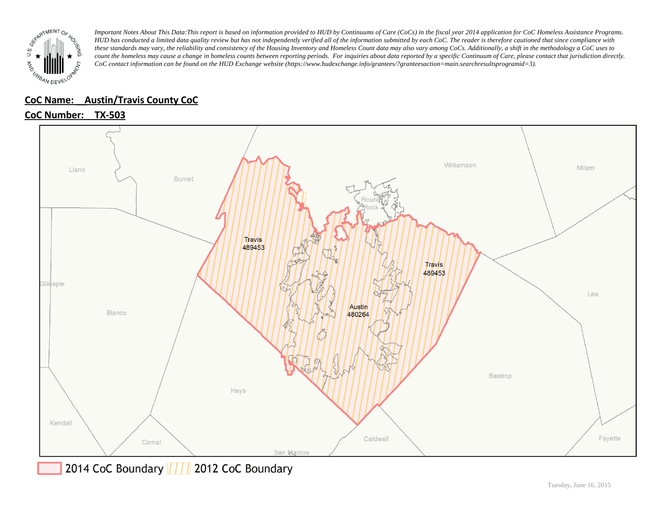

## **CoC Name: \_\_ Austin/Travis County CoC**

## **CoC Number: TX-503**



2014 CoC Boundary | | | 2012 CoC Boundary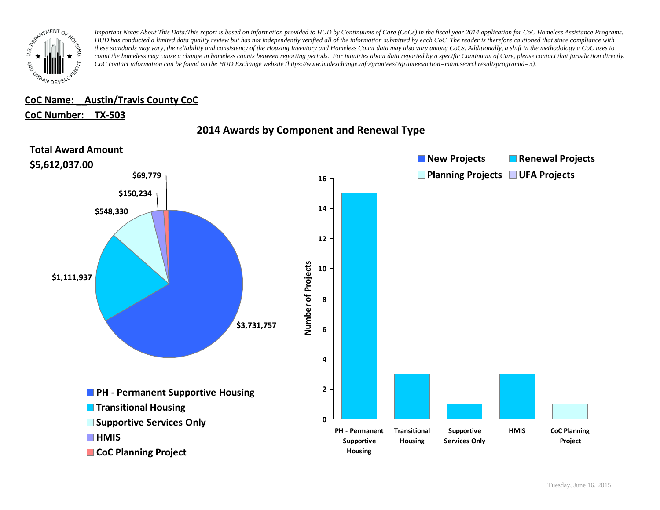

### **CoC Name: \_\_ Austin/Travis County CoC**

#### **CoC Number: TX-503**



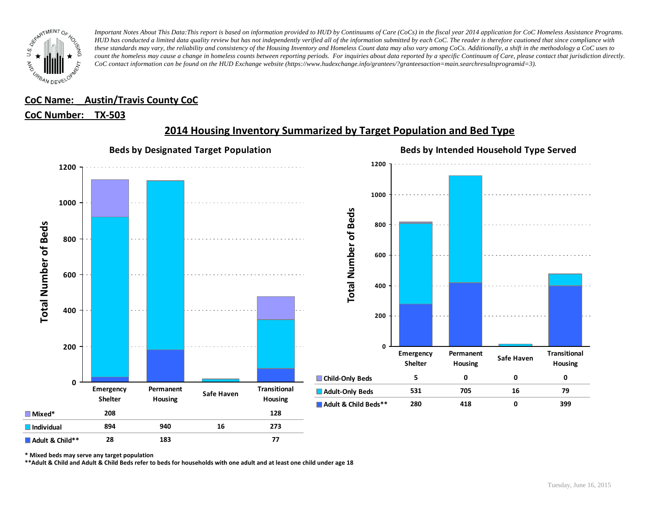

## **CoC Name: \_\_ Austin/Travis County CoC**

#### **CoC Number: TX-503**



# **2014 Housing Inventory Summarized by Target Population and Bed Type**

**\* Mixed beds may serve any target population**

**\*\*Adult & Child and Adult & Child Beds refer to beds for households with one adult and at least one child under age 18**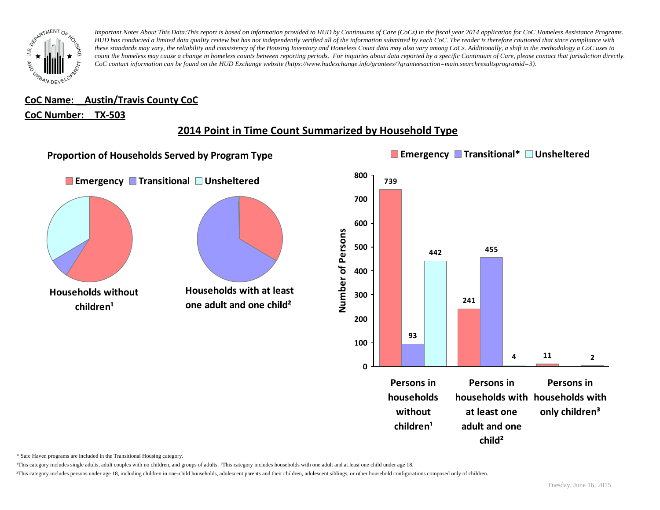

**CoC Name: \_\_ Austin/Travis County CoC**

#### **CoC Number: TX-503**

## **2014 Point in Time Count Summarized by Household Type**



\* Safe Haven programs are included in the Transitional Housing category.

¹This category includes single adults, adult couples with no children, and groups of adults. ²This category includes households with one adult and at least one child under age 18.

<sup>3</sup>This category includes persons under age 18, including children in one-child households, adolescent parents and their children, adolescent siblings, or other household configurations composed only of children.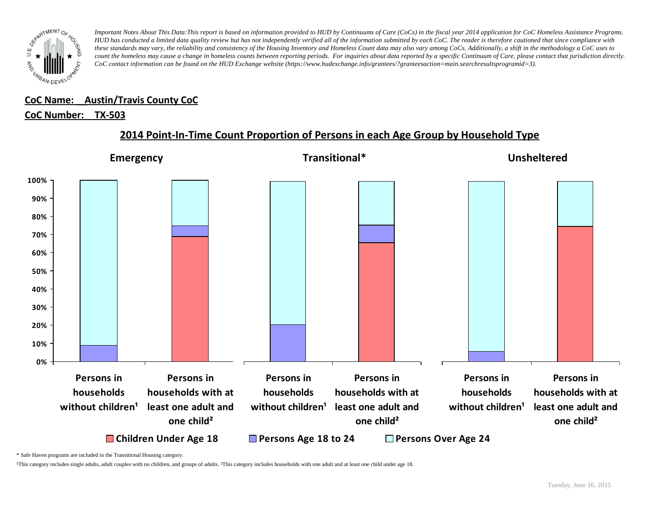

#### **CoC Name: \_\_ Austin/Travis County CoC** ¹This category includes single adults, adult couples with no children, and groups of adults. ²This category includes households with one adult and at least one child under age 18.

## <u>CoC Number: TX-503</u>

## **2014 Point-In-Time Count Proportion of Persons in each Age Group by Household Type**



\* Safe Haven programs are included in the Transitional Housing category.

¹This category includes single adults, adult couples with no children, and groups of adults. ²This category includes households with one adult and at least one child under age 18.